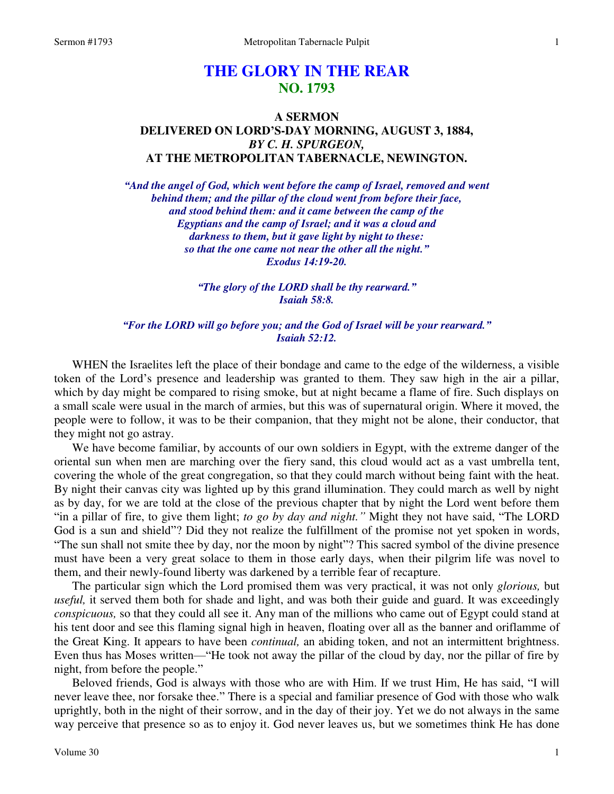# **THE GLORY IN THE REAR NO. 1793**

# **A SERMON DELIVERED ON LORD'S-DAY MORNING, AUGUST 3, 1884,**  *BY C. H. SPURGEON,*  **AT THE METROPOLITAN TABERNACLE, NEWINGTON.**

*"And the angel of God, which went before the camp of Israel, removed and went behind them; and the pillar of the cloud went from before their face, and stood behind them: and it came between the camp of the Egyptians and the camp of Israel; and it was a cloud and darkness to them, but it gave light by night to these: so that the one came not near the other all the night." Exodus 14:19-20.* 

> *"The glory of the LORD shall be thy rearward." Isaiah 58:8.*

*"For the LORD will go before you; and the God of Israel will be your rearward." Isaiah 52:12.* 

WHEN the Israelites left the place of their bondage and came to the edge of the wilderness, a visible token of the Lord's presence and leadership was granted to them. They saw high in the air a pillar, which by day might be compared to rising smoke, but at night became a flame of fire. Such displays on a small scale were usual in the march of armies, but this was of supernatural origin. Where it moved, the people were to follow, it was to be their companion, that they might not be alone, their conductor, that they might not go astray.

 We have become familiar, by accounts of our own soldiers in Egypt, with the extreme danger of the oriental sun when men are marching over the fiery sand, this cloud would act as a vast umbrella tent, covering the whole of the great congregation, so that they could march without being faint with the heat. By night their canvas city was lighted up by this grand illumination. They could march as well by night as by day, for we are told at the close of the previous chapter that by night the Lord went before them "in a pillar of fire, to give them light; *to go by day and night."* Might they not have said, "The LORD God is a sun and shield"? Did they not realize the fulfillment of the promise not yet spoken in words, "The sun shall not smite thee by day, nor the moon by night"? This sacred symbol of the divine presence must have been a very great solace to them in those early days, when their pilgrim life was novel to them, and their newly-found liberty was darkened by a terrible fear of recapture.

 The particular sign which the Lord promised them was very practical, it was not only *glorious,* but *useful,* it served them both for shade and light, and was both their guide and guard. It was exceedingly *conspicuous,* so that they could all see it. Any man of the millions who came out of Egypt could stand at his tent door and see this flaming signal high in heaven, floating over all as the banner and oriflamme of the Great King. It appears to have been *continual,* an abiding token, and not an intermittent brightness. Even thus has Moses written—"He took not away the pillar of the cloud by day, nor the pillar of fire by night, from before the people."

 Beloved friends, God is always with those who are with Him. If we trust Him, He has said, "I will never leave thee, nor forsake thee." There is a special and familiar presence of God with those who walk uprightly, both in the night of their sorrow, and in the day of their joy. Yet we do not always in the same way perceive that presence so as to enjoy it. God never leaves us, but we sometimes think He has done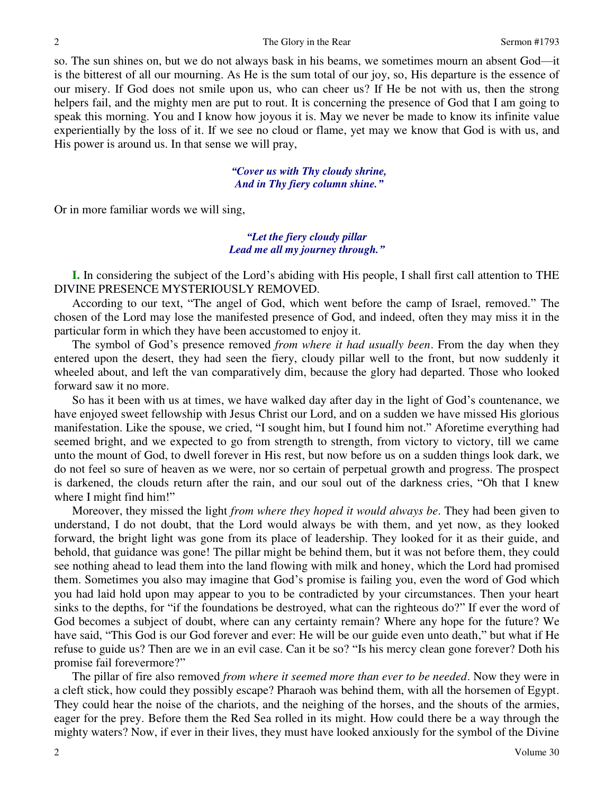so. The sun shines on, but we do not always bask in his beams, we sometimes mourn an absent God—it is the bitterest of all our mourning. As He is the sum total of our joy, so, His departure is the essence of our misery. If God does not smile upon us, who can cheer us? If He be not with us, then the strong helpers fail, and the mighty men are put to rout. It is concerning the presence of God that I am going to speak this morning. You and I know how joyous it is. May we never be made to know its infinite value experientially by the loss of it. If we see no cloud or flame, yet may we know that God is with us, and His power is around us. In that sense we will pray,

> *"Cover us with Thy cloudy shrine, And in Thy fiery column shine."*

Or in more familiar words we will sing,

*"Let the fiery cloudy pillar Lead me all my journey through."*

 **I.** In considering the subject of the Lord's abiding with His people, I shall first call attention to THE DIVINE PRESENCE MYSTERIOUSLY REMOVED.

 According to our text, "The angel of God, which went before the camp of Israel, removed." The chosen of the Lord may lose the manifested presence of God, and indeed, often they may miss it in the particular form in which they have been accustomed to enjoy it.

 The symbol of God's presence removed *from where it had usually been*. From the day when they entered upon the desert, they had seen the fiery, cloudy pillar well to the front, but now suddenly it wheeled about, and left the van comparatively dim, because the glory had departed. Those who looked forward saw it no more.

 So has it been with us at times, we have walked day after day in the light of God's countenance, we have enjoyed sweet fellowship with Jesus Christ our Lord, and on a sudden we have missed His glorious manifestation. Like the spouse, we cried, "I sought him, but I found him not." Aforetime everything had seemed bright, and we expected to go from strength to strength, from victory to victory, till we came unto the mount of God, to dwell forever in His rest, but now before us on a sudden things look dark, we do not feel so sure of heaven as we were, nor so certain of perpetual growth and progress. The prospect is darkened, the clouds return after the rain, and our soul out of the darkness cries, "Oh that I knew where I might find him!"

 Moreover, they missed the light *from where they hoped it would always be*. They had been given to understand, I do not doubt, that the Lord would always be with them, and yet now, as they looked forward, the bright light was gone from its place of leadership. They looked for it as their guide, and behold, that guidance was gone! The pillar might be behind them, but it was not before them, they could see nothing ahead to lead them into the land flowing with milk and honey, which the Lord had promised them. Sometimes you also may imagine that God's promise is failing you, even the word of God which you had laid hold upon may appear to you to be contradicted by your circumstances. Then your heart sinks to the depths, for "if the foundations be destroyed, what can the righteous do?" If ever the word of God becomes a subject of doubt, where can any certainty remain? Where any hope for the future? We have said, "This God is our God forever and ever: He will be our guide even unto death," but what if He refuse to guide us? Then are we in an evil case. Can it be so? "Is his mercy clean gone forever? Doth his promise fail forevermore?"

 The pillar of fire also removed *from where it seemed more than ever to be needed*. Now they were in a cleft stick, how could they possibly escape? Pharaoh was behind them, with all the horsemen of Egypt. They could hear the noise of the chariots, and the neighing of the horses, and the shouts of the armies, eager for the prey. Before them the Red Sea rolled in its might. How could there be a way through the mighty waters? Now, if ever in their lives, they must have looked anxiously for the symbol of the Divine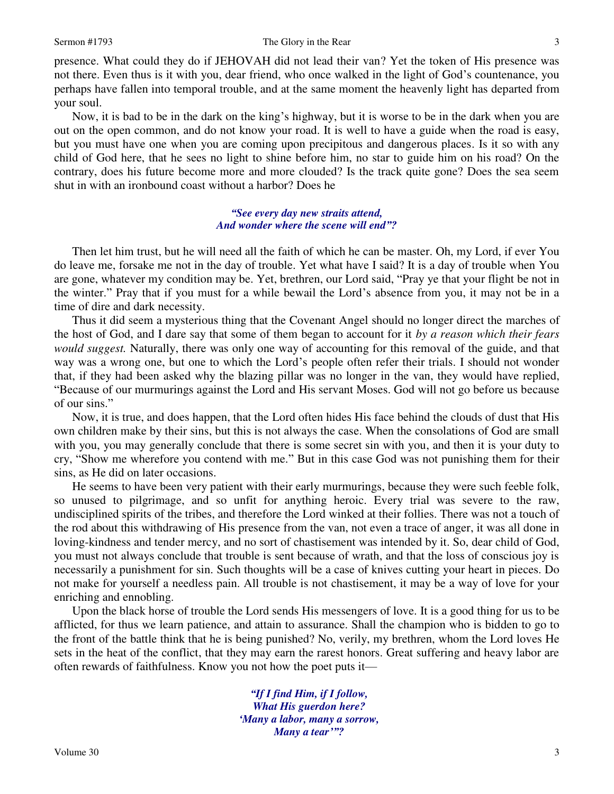presence. What could they do if JEHOVAH did not lead their van? Yet the token of His presence was not there. Even thus is it with you, dear friend, who once walked in the light of God's countenance, you perhaps have fallen into temporal trouble, and at the same moment the heavenly light has departed from your soul.

 Now, it is bad to be in the dark on the king's highway, but it is worse to be in the dark when you are out on the open common, and do not know your road. It is well to have a guide when the road is easy, but you must have one when you are coming upon precipitous and dangerous places. Is it so with any child of God here, that he sees no light to shine before him, no star to guide him on his road? On the contrary, does his future become more and more clouded? Is the track quite gone? Does the sea seem shut in with an ironbound coast without a harbor? Does he

### *"See every day new straits attend, And wonder where the scene will end"?*

 Then let him trust, but he will need all the faith of which he can be master. Oh, my Lord, if ever You do leave me, forsake me not in the day of trouble. Yet what have I said? It is a day of trouble when You are gone, whatever my condition may be. Yet, brethren, our Lord said, "Pray ye that your flight be not in the winter." Pray that if you must for a while bewail the Lord's absence from you, it may not be in a time of dire and dark necessity.

 Thus it did seem a mysterious thing that the Covenant Angel should no longer direct the marches of the host of God, and I dare say that some of them began to account for it *by a reason which their fears would suggest.* Naturally, there was only one way of accounting for this removal of the guide, and that way was a wrong one, but one to which the Lord's people often refer their trials. I should not wonder that, if they had been asked why the blazing pillar was no longer in the van, they would have replied, "Because of our murmurings against the Lord and His servant Moses. God will not go before us because of our sins."

 Now, it is true, and does happen, that the Lord often hides His face behind the clouds of dust that His own children make by their sins, but this is not always the case. When the consolations of God are small with you, you may generally conclude that there is some secret sin with you, and then it is your duty to cry, "Show me wherefore you contend with me." But in this case God was not punishing them for their sins, as He did on later occasions.

 He seems to have been very patient with their early murmurings, because they were such feeble folk, so unused to pilgrimage, and so unfit for anything heroic. Every trial was severe to the raw, undisciplined spirits of the tribes, and therefore the Lord winked at their follies. There was not a touch of the rod about this withdrawing of His presence from the van, not even a trace of anger, it was all done in loving-kindness and tender mercy, and no sort of chastisement was intended by it. So, dear child of God, you must not always conclude that trouble is sent because of wrath, and that the loss of conscious joy is necessarily a punishment for sin. Such thoughts will be a case of knives cutting your heart in pieces. Do not make for yourself a needless pain. All trouble is not chastisement, it may be a way of love for your enriching and ennobling.

 Upon the black horse of trouble the Lord sends His messengers of love. It is a good thing for us to be afflicted, for thus we learn patience, and attain to assurance. Shall the champion who is bidden to go to the front of the battle think that he is being punished? No, verily, my brethren, whom the Lord loves He sets in the heat of the conflict, that they may earn the rarest honors. Great suffering and heavy labor are often rewards of faithfulness. Know you not how the poet puts it—

> *"If I find Him, if I follow, What His guerdon here? 'Many a labor, many a sorrow, Many a tear'"?*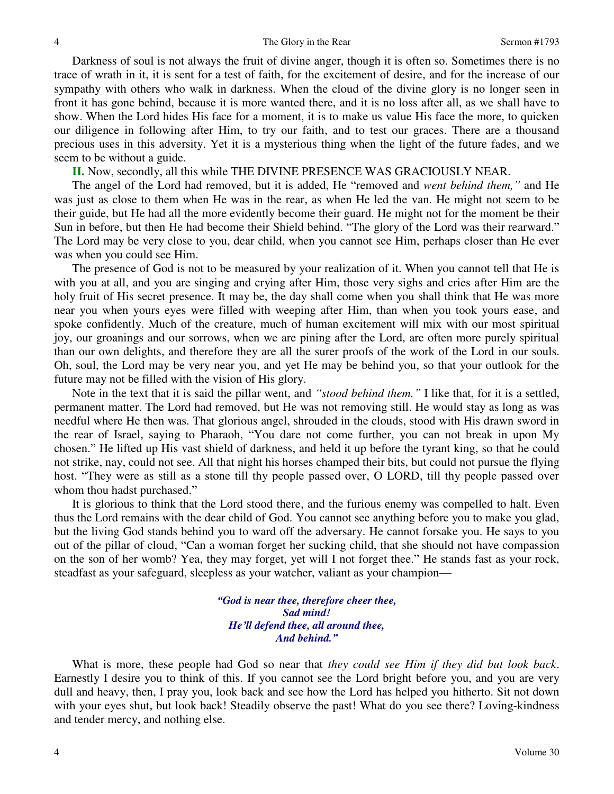Darkness of soul is not always the fruit of divine anger, though it is often so. Sometimes there is no trace of wrath in it, it is sent for a test of faith, for the excitement of desire, and for the increase of our sympathy with others who walk in darkness. When the cloud of the divine glory is no longer seen in front it has gone behind, because it is more wanted there, and it is no loss after all, as we shall have to show. When the Lord hides His face for a moment, it is to make us value His face the more, to quicken our diligence in following after Him, to try our faith, and to test our graces. There are a thousand precious uses in this adversity. Yet it is a mysterious thing when the light of the future fades, and we seem to be without a guide.

**II.** Now, secondly, all this while THE DIVINE PRESENCE WAS GRACIOUSLY NEAR.

 The angel of the Lord had removed, but it is added, He "removed and *went behind them,"* and He was just as close to them when He was in the rear, as when He led the van. He might not seem to be their guide, but He had all the more evidently become their guard. He might not for the moment be their Sun in before, but then He had become their Shield behind. "The glory of the Lord was their rearward." The Lord may be very close to you, dear child, when you cannot see Him, perhaps closer than He ever was when you could see Him.

 The presence of God is not to be measured by your realization of it. When you cannot tell that He is with you at all, and you are singing and crying after Him, those very sighs and cries after Him are the holy fruit of His secret presence. It may be, the day shall come when you shall think that He was more near you when yours eyes were filled with weeping after Him, than when you took yours ease, and spoke confidently. Much of the creature, much of human excitement will mix with our most spiritual joy, our groanings and our sorrows, when we are pining after the Lord, are often more purely spiritual than our own delights, and therefore they are all the surer proofs of the work of the Lord in our souls. Oh, soul, the Lord may be very near you, and yet He may be behind you, so that your outlook for the future may not be filled with the vision of His glory.

 Note in the text that it is said the pillar went, and *"stood behind them."* I like that, for it is a settled, permanent matter. The Lord had removed, but He was not removing still. He would stay as long as was needful where He then was. That glorious angel, shrouded in the clouds, stood with His drawn sword in the rear of Israel, saying to Pharaoh, "You dare not come further, you can not break in upon My chosen." He lifted up His vast shield of darkness, and held it up before the tyrant king, so that he could not strike, nay, could not see. All that night his horses champed their bits, but could not pursue the flying host. "They were as still as a stone till thy people passed over, O LORD, till thy people passed over whom thou hadst purchased."

 It is glorious to think that the Lord stood there, and the furious enemy was compelled to halt. Even thus the Lord remains with the dear child of God. You cannot see anything before you to make you glad, but the living God stands behind you to ward off the adversary. He cannot forsake you. He says to you out of the pillar of cloud, "Can a woman forget her sucking child, that she should not have compassion on the son of her womb? Yea, they may forget, yet will I not forget thee." He stands fast as your rock, steadfast as your safeguard, sleepless as your watcher, valiant as your champion—

> *"God is near thee, therefore cheer thee, Sad mind! He'll defend thee, all around thee, And behind."*

 What is more, these people had God so near that *they could see Him if they did but look back*. Earnestly I desire you to think of this. If you cannot see the Lord bright before you, and you are very dull and heavy, then, I pray you, look back and see how the Lord has helped you hitherto. Sit not down with your eyes shut, but look back! Steadily observe the past! What do you see there? Loving-kindness and tender mercy, and nothing else.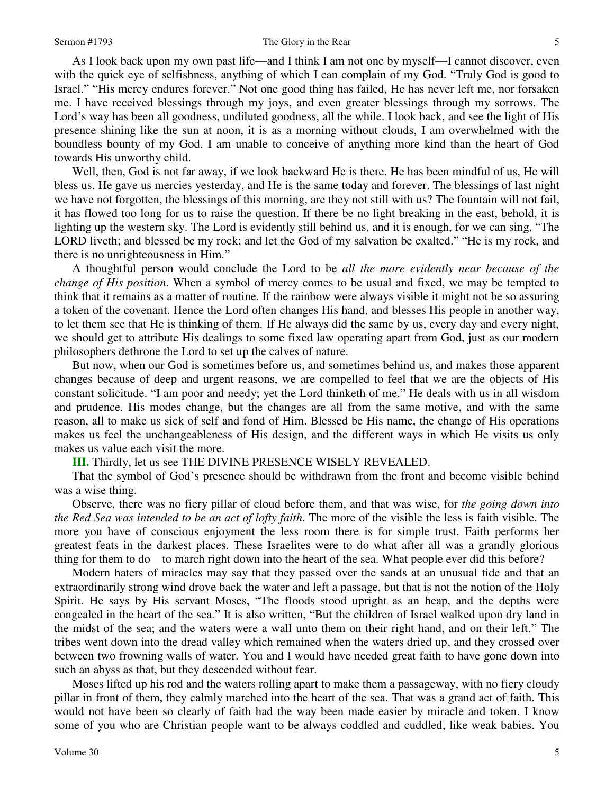As I look back upon my own past life—and I think I am not one by myself—I cannot discover, even with the quick eye of selfishness, anything of which I can complain of my God. "Truly God is good to Israel." "His mercy endures forever." Not one good thing has failed, He has never left me, nor forsaken me. I have received blessings through my joys, and even greater blessings through my sorrows. The Lord's way has been all goodness, undiluted goodness, all the while. I look back, and see the light of His presence shining like the sun at noon, it is as a morning without clouds, I am overwhelmed with the boundless bounty of my God. I am unable to conceive of anything more kind than the heart of God towards His unworthy child.

 Well, then, God is not far away, if we look backward He is there. He has been mindful of us, He will bless us. He gave us mercies yesterday, and He is the same today and forever. The blessings of last night we have not forgotten, the blessings of this morning, are they not still with us? The fountain will not fail, it has flowed too long for us to raise the question. If there be no light breaking in the east, behold, it is lighting up the western sky. The Lord is evidently still behind us, and it is enough, for we can sing, "The LORD liveth; and blessed be my rock; and let the God of my salvation be exalted." "He is my rock, and there is no unrighteousness in Him."

 A thoughtful person would conclude the Lord to be *all the more evidently near because of the change of His position*. When a symbol of mercy comes to be usual and fixed, we may be tempted to think that it remains as a matter of routine. If the rainbow were always visible it might not be so assuring a token of the covenant. Hence the Lord often changes His hand, and blesses His people in another way, to let them see that He is thinking of them. If He always did the same by us, every day and every night, we should get to attribute His dealings to some fixed law operating apart from God, just as our modern philosophers dethrone the Lord to set up the calves of nature.

 But now, when our God is sometimes before us, and sometimes behind us, and makes those apparent changes because of deep and urgent reasons, we are compelled to feel that we are the objects of His constant solicitude. "I am poor and needy; yet the Lord thinketh of me." He deals with us in all wisdom and prudence. His modes change, but the changes are all from the same motive, and with the same reason, all to make us sick of self and fond of Him. Blessed be His name, the change of His operations makes us feel the unchangeableness of His design, and the different ways in which He visits us only makes us value each visit the more.

**III.** Thirdly, let us see THE DIVINE PRESENCE WISELY REVEALED.

 That the symbol of God's presence should be withdrawn from the front and become visible behind was a wise thing.

 Observe, there was no fiery pillar of cloud before them, and that was wise, for *the going down into the Red Sea was intended to be an act of lofty faith*. The more of the visible the less is faith visible. The more you have of conscious enjoyment the less room there is for simple trust. Faith performs her greatest feats in the darkest places. These Israelites were to do what after all was a grandly glorious thing for them to do—to march right down into the heart of the sea. What people ever did this before?

 Modern haters of miracles may say that they passed over the sands at an unusual tide and that an extraordinarily strong wind drove back the water and left a passage, but that is not the notion of the Holy Spirit. He says by His servant Moses, "The floods stood upright as an heap, and the depths were congealed in the heart of the sea." It is also written, "But the children of Israel walked upon dry land in the midst of the sea; and the waters were a wall unto them on their right hand, and on their left." The tribes went down into the dread valley which remained when the waters dried up, and they crossed over between two frowning walls of water. You and I would have needed great faith to have gone down into such an abyss as that, but they descended without fear.

 Moses lifted up his rod and the waters rolling apart to make them a passageway, with no fiery cloudy pillar in front of them, they calmly marched into the heart of the sea. That was a grand act of faith. This would not have been so clearly of faith had the way been made easier by miracle and token. I know some of you who are Christian people want to be always coddled and cuddled, like weak babies. You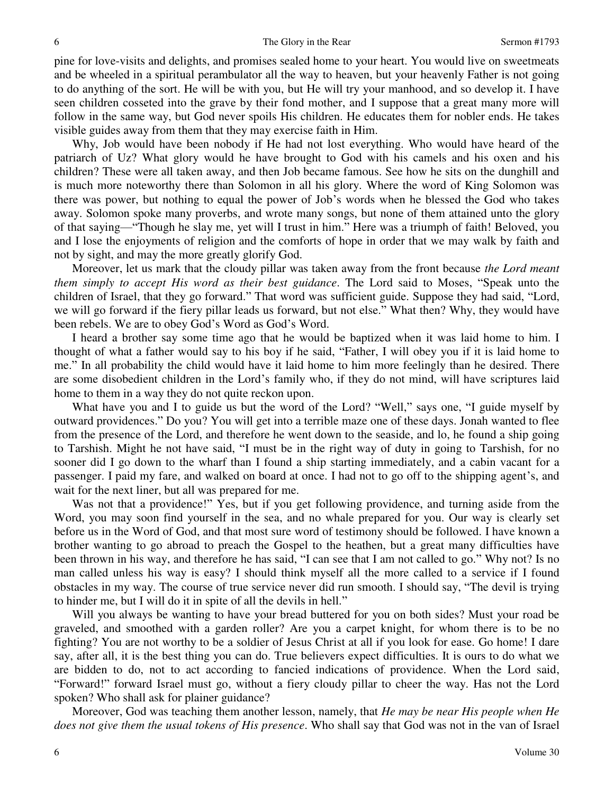pine for love-visits and delights, and promises sealed home to your heart. You would live on sweetmeats and be wheeled in a spiritual perambulator all the way to heaven, but your heavenly Father is not going to do anything of the sort. He will be with you, but He will try your manhood, and so develop it. I have seen children cosseted into the grave by their fond mother, and I suppose that a great many more will follow in the same way, but God never spoils His children. He educates them for nobler ends. He takes visible guides away from them that they may exercise faith in Him.

 Why, Job would have been nobody if He had not lost everything. Who would have heard of the patriarch of Uz? What glory would he have brought to God with his camels and his oxen and his children? These were all taken away, and then Job became famous. See how he sits on the dunghill and is much more noteworthy there than Solomon in all his glory. Where the word of King Solomon was there was power, but nothing to equal the power of Job's words when he blessed the God who takes away. Solomon spoke many proverbs, and wrote many songs, but none of them attained unto the glory of that saying—"Though he slay me, yet will I trust in him." Here was a triumph of faith! Beloved, you and I lose the enjoyments of religion and the comforts of hope in order that we may walk by faith and not by sight, and may the more greatly glorify God.

 Moreover, let us mark that the cloudy pillar was taken away from the front because *the Lord meant them simply to accept His word as their best guidance*. The Lord said to Moses, "Speak unto the children of Israel, that they go forward." That word was sufficient guide. Suppose they had said, "Lord, we will go forward if the fiery pillar leads us forward, but not else." What then? Why, they would have been rebels. We are to obey God's Word as God's Word.

 I heard a brother say some time ago that he would be baptized when it was laid home to him. I thought of what a father would say to his boy if he said, "Father, I will obey you if it is laid home to me." In all probability the child would have it laid home to him more feelingly than he desired. There are some disobedient children in the Lord's family who, if they do not mind, will have scriptures laid home to them in a way they do not quite reckon upon.

What have you and I to guide us but the word of the Lord? "Well," says one, "I guide myself by outward providences." Do you? You will get into a terrible maze one of these days. Jonah wanted to flee from the presence of the Lord, and therefore he went down to the seaside, and lo, he found a ship going to Tarshish. Might he not have said, "I must be in the right way of duty in going to Tarshish, for no sooner did I go down to the wharf than I found a ship starting immediately, and a cabin vacant for a passenger. I paid my fare, and walked on board at once. I had not to go off to the shipping agent's, and wait for the next liner, but all was prepared for me.

 Was not that a providence!" Yes, but if you get following providence, and turning aside from the Word, you may soon find yourself in the sea, and no whale prepared for you. Our way is clearly set before us in the Word of God, and that most sure word of testimony should be followed. I have known a brother wanting to go abroad to preach the Gospel to the heathen, but a great many difficulties have been thrown in his way, and therefore he has said, "I can see that I am not called to go." Why not? Is no man called unless his way is easy? I should think myself all the more called to a service if I found obstacles in my way. The course of true service never did run smooth. I should say, "The devil is trying to hinder me, but I will do it in spite of all the devils in hell."

 Will you always be wanting to have your bread buttered for you on both sides? Must your road be graveled, and smoothed with a garden roller? Are you a carpet knight, for whom there is to be no fighting? You are not worthy to be a soldier of Jesus Christ at all if you look for ease. Go home! I dare say, after all, it is the best thing you can do. True believers expect difficulties. It is ours to do what we are bidden to do, not to act according to fancied indications of providence. When the Lord said, "Forward!" forward Israel must go, without a fiery cloudy pillar to cheer the way. Has not the Lord spoken? Who shall ask for plainer guidance?

 Moreover, God was teaching them another lesson, namely, that *He may be near His people when He does not give them the usual tokens of His presence*. Who shall say that God was not in the van of Israel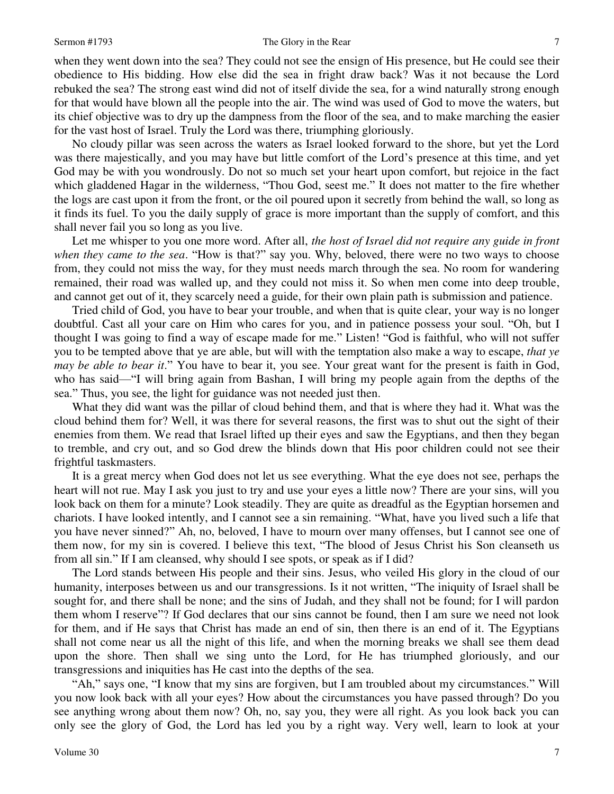#### Sermon #1793 The Glory in the Rear 7

when they went down into the sea? They could not see the ensign of His presence, but He could see their obedience to His bidding. How else did the sea in fright draw back? Was it not because the Lord rebuked the sea? The strong east wind did not of itself divide the sea, for a wind naturally strong enough for that would have blown all the people into the air. The wind was used of God to move the waters, but its chief objective was to dry up the dampness from the floor of the sea, and to make marching the easier for the vast host of Israel. Truly the Lord was there, triumphing gloriously.

 No cloudy pillar was seen across the waters as Israel looked forward to the shore, but yet the Lord was there majestically, and you may have but little comfort of the Lord's presence at this time, and yet God may be with you wondrously. Do not so much set your heart upon comfort, but rejoice in the fact which gladdened Hagar in the wilderness, "Thou God, seest me." It does not matter to the fire whether the logs are cast upon it from the front, or the oil poured upon it secretly from behind the wall, so long as it finds its fuel. To you the daily supply of grace is more important than the supply of comfort, and this shall never fail you so long as you live.

 Let me whisper to you one more word. After all, *the host of Israel did not require any guide in front when they came to the sea*. "How is that?" say you. Why, beloved, there were no two ways to choose from, they could not miss the way, for they must needs march through the sea. No room for wandering remained, their road was walled up, and they could not miss it. So when men come into deep trouble, and cannot get out of it, they scarcely need a guide, for their own plain path is submission and patience.

 Tried child of God, you have to bear your trouble, and when that is quite clear, your way is no longer doubtful. Cast all your care on Him who cares for you, and in patience possess your soul. "Oh, but I thought I was going to find a way of escape made for me." Listen! "God is faithful, who will not suffer you to be tempted above that ye are able, but will with the temptation also make a way to escape, *that ye may be able to bear it*." You have to bear it, you see. Your great want for the present is faith in God, who has said—"I will bring again from Bashan, I will bring my people again from the depths of the sea." Thus, you see, the light for guidance was not needed just then.

 What they did want was the pillar of cloud behind them, and that is where they had it. What was the cloud behind them for? Well, it was there for several reasons, the first was to shut out the sight of their enemies from them. We read that Israel lifted up their eyes and saw the Egyptians, and then they began to tremble, and cry out, and so God drew the blinds down that His poor children could not see their frightful taskmasters.

 It is a great mercy when God does not let us see everything. What the eye does not see, perhaps the heart will not rue. May I ask you just to try and use your eyes a little now? There are your sins, will you look back on them for a minute? Look steadily. They are quite as dreadful as the Egyptian horsemen and chariots. I have looked intently, and I cannot see a sin remaining. "What, have you lived such a life that you have never sinned?" Ah, no, beloved, I have to mourn over many offenses, but I cannot see one of them now, for my sin is covered. I believe this text, "The blood of Jesus Christ his Son cleanseth us from all sin." If I am cleansed, why should I see spots, or speak as if I did?

 The Lord stands between His people and their sins. Jesus, who veiled His glory in the cloud of our humanity, interposes between us and our transgressions. Is it not written, "The iniquity of Israel shall be sought for, and there shall be none; and the sins of Judah, and they shall not be found; for I will pardon them whom I reserve"? If God declares that our sins cannot be found, then I am sure we need not look for them, and if He says that Christ has made an end of sin, then there is an end of it. The Egyptians shall not come near us all the night of this life, and when the morning breaks we shall see them dead upon the shore. Then shall we sing unto the Lord, for He has triumphed gloriously, and our transgressions and iniquities has He cast into the depths of the sea.

"Ah," says one, "I know that my sins are forgiven, but I am troubled about my circumstances." Will you now look back with all your eyes? How about the circumstances you have passed through? Do you see anything wrong about them now? Oh, no, say you, they were all right. As you look back you can only see the glory of God, the Lord has led you by a right way. Very well, learn to look at your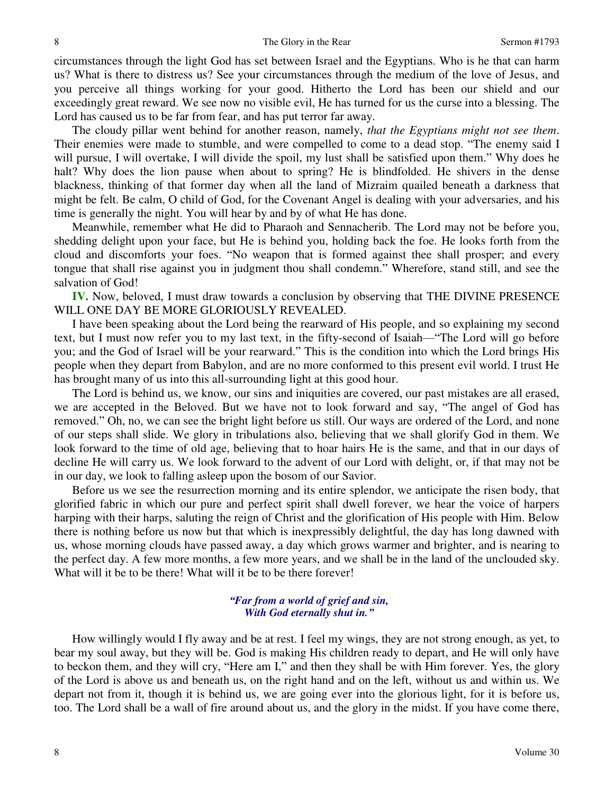circumstances through the light God has set between Israel and the Egyptians. Who is he that can harm us? What is there to distress us? See your circumstances through the medium of the love of Jesus, and you perceive all things working for your good. Hitherto the Lord has been our shield and our exceedingly great reward. We see now no visible evil, He has turned for us the curse into a blessing. The Lord has caused us to be far from fear, and has put terror far away.

 The cloudy pillar went behind for another reason, namely, *that the Egyptians might not see them*. Their enemies were made to stumble, and were compelled to come to a dead stop. "The enemy said I will pursue, I will overtake, I will divide the spoil, my lust shall be satisfied upon them." Why does he halt? Why does the lion pause when about to spring? He is blindfolded. He shivers in the dense blackness, thinking of that former day when all the land of Mizraim quailed beneath a darkness that might be felt. Be calm, O child of God, for the Covenant Angel is dealing with your adversaries, and his time is generally the night. You will hear by and by of what He has done.

 Meanwhile, remember what He did to Pharaoh and Sennacherib. The Lord may not be before you, shedding delight upon your face, but He is behind you, holding back the foe. He looks forth from the cloud and discomforts your foes. "No weapon that is formed against thee shall prosper; and every tongue that shall rise against you in judgment thou shall condemn." Wherefore, stand still, and see the salvation of God!

**IV.** Now, beloved, I must draw towards a conclusion by observing that THE DIVINE PRESENCE WILL ONE DAY BE MORE GLORIOUSLY REVEALED.

 I have been speaking about the Lord being the rearward of His people, and so explaining my second text, but I must now refer you to my last text, in the fifty-second of Isaiah—"The Lord will go before you; and the God of Israel will be your rearward." This is the condition into which the Lord brings His people when they depart from Babylon, and are no more conformed to this present evil world. I trust He has brought many of us into this all-surrounding light at this good hour.

The Lord is behind us, we know, our sins and iniquities are covered, our past mistakes are all erased, we are accepted in the Beloved. But we have not to look forward and say, "The angel of God has removed." Oh, no, we can see the bright light before us still. Our ways are ordered of the Lord, and none of our steps shall slide. We glory in tribulations also, believing that we shall glorify God in them. We look forward to the time of old age, believing that to hoar hairs He is the same, and that in our days of decline He will carry us. We look forward to the advent of our Lord with delight, or, if that may not be in our day, we look to falling asleep upon the bosom of our Savior.

Before us we see the resurrection morning and its entire splendor, we anticipate the risen body, that glorified fabric in which our pure and perfect spirit shall dwell forever, we hear the voice of harpers harping with their harps, saluting the reign of Christ and the glorification of His people with Him. Below there is nothing before us now but that which is inexpressibly delightful, the day has long dawned with us, whose morning clouds have passed away, a day which grows warmer and brighter, and is nearing to the perfect day. A few more months, a few more years, and we shall be in the land of the unclouded sky. What will it be to be there! What will it be to be there forever!

## *"Far from a world of grief and sin, With God eternally shut in."*

 How willingly would I fly away and be at rest. I feel my wings, they are not strong enough, as yet, to bear my soul away, but they will be. God is making His children ready to depart, and He will only have to beckon them, and they will cry, "Here am I," and then they shall be with Him forever. Yes, the glory of the Lord is above us and beneath us, on the right hand and on the left, without us and within us. We depart not from it, though it is behind us, we are going ever into the glorious light, for it is before us, too. The Lord shall be a wall of fire around about us, and the glory in the midst. If you have come there,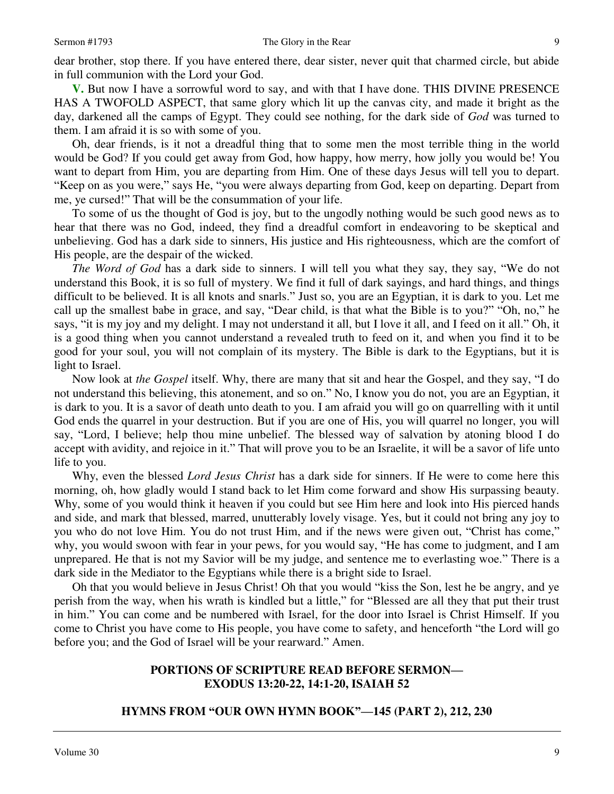dear brother, stop there. If you have entered there, dear sister, never quit that charmed circle, but abide in full communion with the Lord your God.

**V.** But now I have a sorrowful word to say, and with that I have done. THIS DIVINE PRESENCE HAS A TWOFOLD ASPECT, that same glory which lit up the canvas city, and made it bright as the day, darkened all the camps of Egypt. They could see nothing, for the dark side of *God* was turned to them. I am afraid it is so with some of you.

 Oh, dear friends, is it not a dreadful thing that to some men the most terrible thing in the world would be God? If you could get away from God, how happy, how merry, how jolly you would be! You want to depart from Him, you are departing from Him. One of these days Jesus will tell you to depart. "Keep on as you were," says He, "you were always departing from God, keep on departing. Depart from me, ye cursed!" That will be the consummation of your life.

 To some of us the thought of God is joy, but to the ungodly nothing would be such good news as to hear that there was no God, indeed, they find a dreadful comfort in endeavoring to be skeptical and unbelieving. God has a dark side to sinners, His justice and His righteousness, which are the comfort of His people, are the despair of the wicked.

*The Word of God* has a dark side to sinners. I will tell you what they say, they say, "We do not understand this Book, it is so full of mystery. We find it full of dark sayings, and hard things, and things difficult to be believed. It is all knots and snarls." Just so, you are an Egyptian, it is dark to you. Let me call up the smallest babe in grace, and say, "Dear child, is that what the Bible is to you?" "Oh, no," he says, "it is my joy and my delight. I may not understand it all, but I love it all, and I feed on it all." Oh, it is a good thing when you cannot understand a revealed truth to feed on it, and when you find it to be good for your soul, you will not complain of its mystery. The Bible is dark to the Egyptians, but it is light to Israel.

 Now look at *the Gospel* itself. Why, there are many that sit and hear the Gospel, and they say, "I do not understand this believing, this atonement, and so on." No, I know you do not, you are an Egyptian, it is dark to you. It is a savor of death unto death to you. I am afraid you will go on quarrelling with it until God ends the quarrel in your destruction. But if you are one of His, you will quarrel no longer, you will say, "Lord, I believe; help thou mine unbelief. The blessed way of salvation by atoning blood I do accept with avidity, and rejoice in it." That will prove you to be an Israelite, it will be a savor of life unto life to you.

 Why, even the blessed *Lord Jesus Christ* has a dark side for sinners. If He were to come here this morning, oh, how gladly would I stand back to let Him come forward and show His surpassing beauty. Why, some of you would think it heaven if you could but see Him here and look into His pierced hands and side, and mark that blessed, marred, unutterably lovely visage. Yes, but it could not bring any joy to you who do not love Him. You do not trust Him, and if the news were given out, "Christ has come," why, you would swoon with fear in your pews, for you would say, "He has come to judgment, and I am unprepared. He that is not my Savior will be my judge, and sentence me to everlasting woe." There is a dark side in the Mediator to the Egyptians while there is a bright side to Israel.

 Oh that you would believe in Jesus Christ! Oh that you would "kiss the Son, lest he be angry, and ye perish from the way, when his wrath is kindled but a little," for "Blessed are all they that put their trust in him." You can come and be numbered with Israel, for the door into Israel is Christ Himself. If you come to Christ you have come to His people, you have come to safety, and henceforth "the Lord will go before you; and the God of Israel will be your rearward." Amen.

# **PORTIONS OF SCRIPTURE READ BEFORE SERMON— EXODUS 13:20-22, 14:1-20, ISAIAH 52**

## **HYMNS FROM "OUR OWN HYMN BOOK"—145 (PART 2), 212, 230**